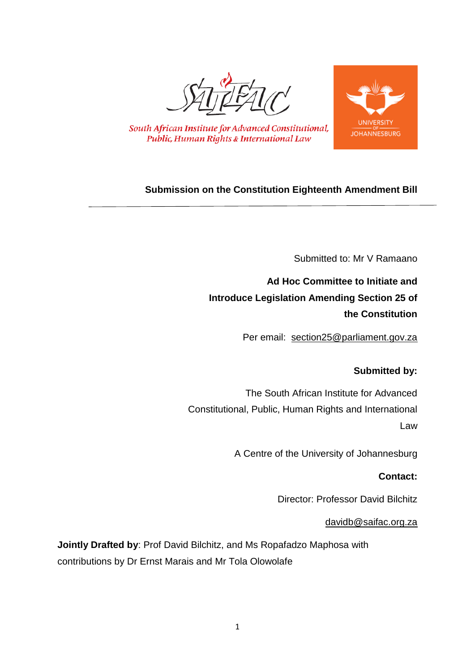



South African Institute for Advanced Constitutional, Public, Human Rights & International Law

# **Submission on the Constitution Eighteenth Amendment Bill**

Submitted to: Mr V Ramaano

**Ad Hoc Committee to Initiate and Introduce Legislation Amending Section 25 of the Constitution**

Per email: [section25@parliament.gov.za](mailto:section25@parliament.gov.za)

# **Submitted by:**

The South African Institute for Advanced Constitutional, Public, Human Rights and International Law

A Centre of the University of Johannesburg

### **Contact:**

Director: Professor David Bilchitz

### [davidb@saifac.org.za](mailto:davidb@saifac.org.za)

**Jointly Drafted by**: Prof David Bilchitz, and Ms Ropafadzo Maphosa with contributions by Dr Ernst Marais and Mr Tola Olowolafe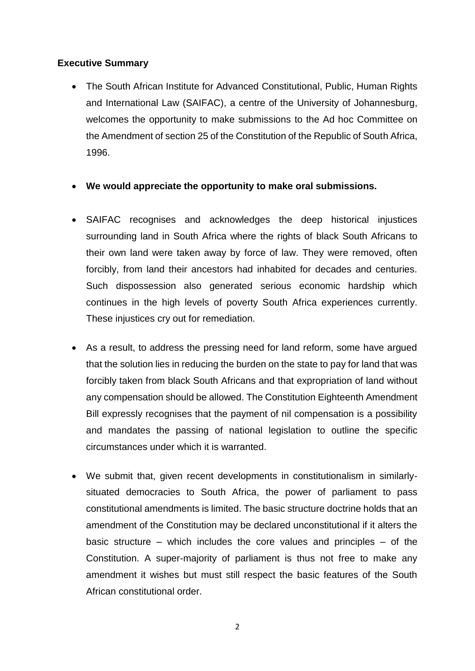### **Executive Summary**

- The South African Institute for Advanced Constitutional, Public, Human Rights and International Law (SAIFAC), a centre of the University of Johannesburg, welcomes the opportunity to make submissions to the Ad hoc Committee on the Amendment of section 25 of the Constitution of the Republic of South Africa, 1996.
- **We would appreciate the opportunity to make oral submissions.**
- SAIFAC recognises and acknowledges the deep historical injustices surrounding land in South Africa where the rights of black South Africans to their own land were taken away by force of law. They were removed, often forcibly, from land their ancestors had inhabited for decades and centuries. Such dispossession also generated serious economic hardship which continues in the high levels of poverty South Africa experiences currently. These injustices cry out for remediation.
- As a result, to address the pressing need for land reform, some have argued that the solution lies in reducing the burden on the state to pay for land that was forcibly taken from black South Africans and that expropriation of land without any compensation should be allowed. The Constitution Eighteenth Amendment Bill expressly recognises that the payment of nil compensation is a possibility and mandates the passing of national legislation to outline the specific circumstances under which it is warranted.
- We submit that, given recent developments in constitutionalism in similarlysituated democracies to South Africa, the power of parliament to pass constitutional amendments is limited. The basic structure doctrine holds that an amendment of the Constitution may be declared unconstitutional if it alters the basic structure – which includes the core values and principles – of the Constitution. A super-majority of parliament is thus not free to make any amendment it wishes but must still respect the basic features of the South African constitutional order.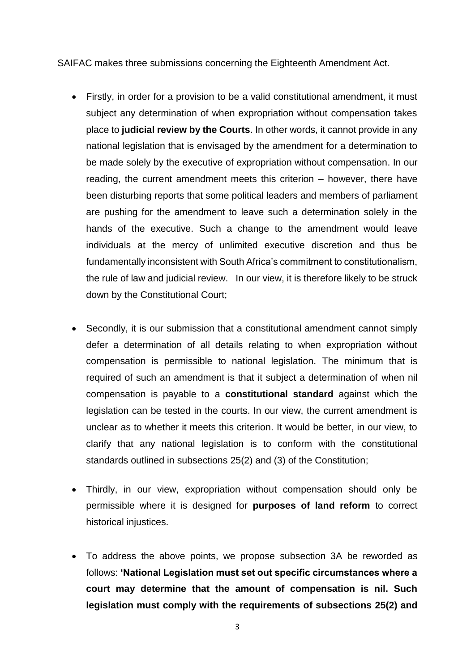SAIFAC makes three submissions concerning the Eighteenth Amendment Act.

- Firstly, in order for a provision to be a valid constitutional amendment, it must subject any determination of when expropriation without compensation takes place to **judicial review by the Courts**. In other words, it cannot provide in any national legislation that is envisaged by the amendment for a determination to be made solely by the executive of expropriation without compensation. In our reading, the current amendment meets this criterion – however, there have been disturbing reports that some political leaders and members of parliament are pushing for the amendment to leave such a determination solely in the hands of the executive. Such a change to the amendment would leave individuals at the mercy of unlimited executive discretion and thus be fundamentally inconsistent with South Africa's commitment to constitutionalism, the rule of law and judicial review. In our view, it is therefore likely to be struck down by the Constitutional Court;
- Secondly, it is our submission that a constitutional amendment cannot simply defer a determination of all details relating to when expropriation without compensation is permissible to national legislation. The minimum that is required of such an amendment is that it subject a determination of when nil compensation is payable to a **constitutional standard** against which the legislation can be tested in the courts. In our view, the current amendment is unclear as to whether it meets this criterion. It would be better, in our view, to clarify that any national legislation is to conform with the constitutional standards outlined in subsections 25(2) and (3) of the Constitution;
- Thirdly, in our view, expropriation without compensation should only be permissible where it is designed for **purposes of land reform** to correct historical injustices.
- To address the above points, we propose subsection 3A be reworded as follows: **'National Legislation must set out specific circumstances where a court may determine that the amount of compensation is nil. Such legislation must comply with the requirements of subsections 25(2) and**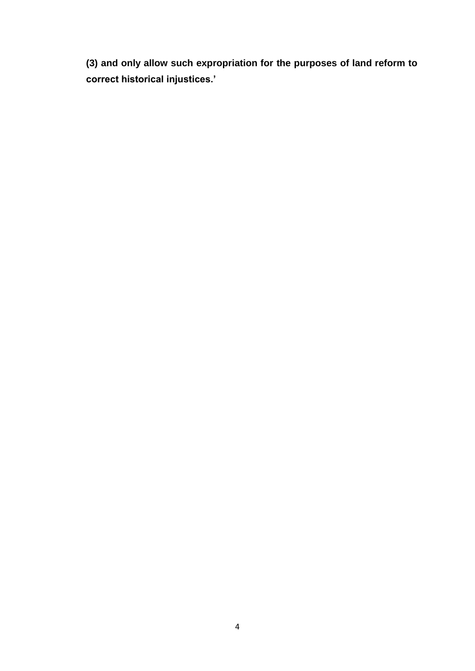**(3) and only allow such expropriation for the purposes of land reform to correct historical injustices.'**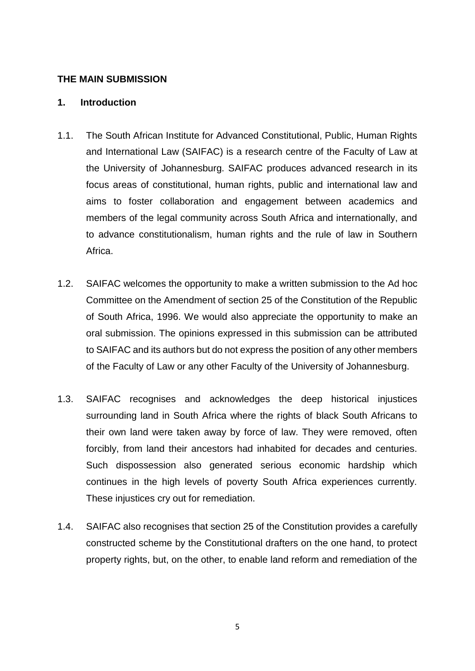#### **THE MAIN SUBMISSION**

#### **1. Introduction**

- 1.1. The South African Institute for Advanced Constitutional, Public, Human Rights and International Law (SAIFAC) is a research centre of the Faculty of Law at the University of Johannesburg. SAIFAC produces advanced research in its focus areas of constitutional, human rights, public and international law and aims to foster collaboration and engagement between academics and members of the legal community across South Africa and internationally, and to advance constitutionalism, human rights and the rule of law in Southern Africa.
- 1.2. SAIFAC welcomes the opportunity to make a written submission to the Ad hoc Committee on the Amendment of section 25 of the Constitution of the Republic of South Africa, 1996. We would also appreciate the opportunity to make an oral submission. The opinions expressed in this submission can be attributed to SAIFAC and its authors but do not express the position of any other members of the Faculty of Law or any other Faculty of the University of Johannesburg.
- 1.3. SAIFAC recognises and acknowledges the deep historical injustices surrounding land in South Africa where the rights of black South Africans to their own land were taken away by force of law. They were removed, often forcibly, from land their ancestors had inhabited for decades and centuries. Such dispossession also generated serious economic hardship which continues in the high levels of poverty South Africa experiences currently. These injustices cry out for remediation.
- 1.4. SAIFAC also recognises that section 25 of the Constitution provides a carefully constructed scheme by the Constitutional drafters on the one hand, to protect property rights, but, on the other, to enable land reform and remediation of the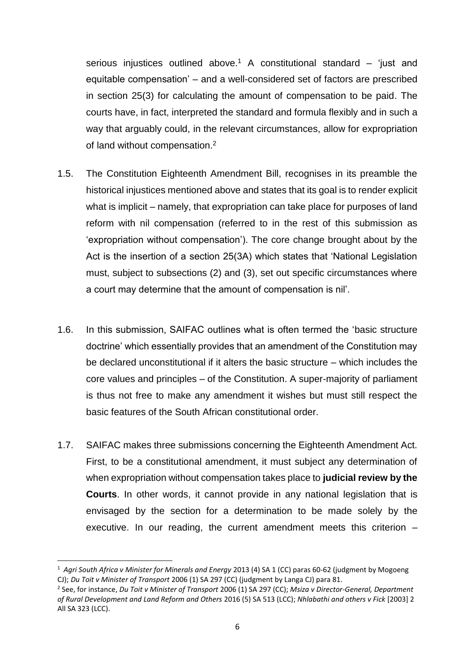serious injustices outlined above.<sup>1</sup> A constitutional standard – 'just and equitable compensation' – and a well-considered set of factors are prescribed in section 25(3) for calculating the amount of compensation to be paid. The courts have, in fact, interpreted the standard and formula flexibly and in such a way that arguably could, in the relevant circumstances, allow for expropriation of land without compensation.<sup>2</sup>

- 1.5. The Constitution Eighteenth Amendment Bill, recognises in its preamble the historical injustices mentioned above and states that its goal is to render explicit what is implicit – namely, that expropriation can take place for purposes of land reform with nil compensation (referred to in the rest of this submission as 'expropriation without compensation'). The core change brought about by the Act is the insertion of a section 25(3A) which states that 'National Legislation must, subject to subsections (2) and (3), set out specific circumstances where a court may determine that the amount of compensation is nil'.
- 1.6. In this submission, SAIFAC outlines what is often termed the 'basic structure doctrine' which essentially provides that an amendment of the Constitution may be declared unconstitutional if it alters the basic structure – which includes the core values and principles – of the Constitution. A super-majority of parliament is thus not free to make any amendment it wishes but must still respect the basic features of the South African constitutional order.
- 1.7. SAIFAC makes three submissions concerning the Eighteenth Amendment Act. First, to be a constitutional amendment, it must subject any determination of when expropriation without compensation takes place to **judicial review by the Courts**. In other words, it cannot provide in any national legislation that is envisaged by the section for a determination to be made solely by the executive. In our reading, the current amendment meets this criterion –

<sup>1</sup> *Agri South Africa v Minister for Minerals and Energy* 2013 (4) SA 1 (CC) paras 60-62 (judgment by Mogoeng CJ); *Du Toit v Minister of Transport* 2006 (1) SA 297 (CC) (judgment by Langa CJ) para 81.

<sup>2</sup> See, for instance, *Du Toit v Minister of Transport* 2006 (1) SA 297 (CC); *Msiza v Director-General, Department of Rural Development and Land Reform and Others* 2016 (5) SA 513 (LCC); *Nhlabathi and others v Fick* [2003] 2 All SA 323 (LCC).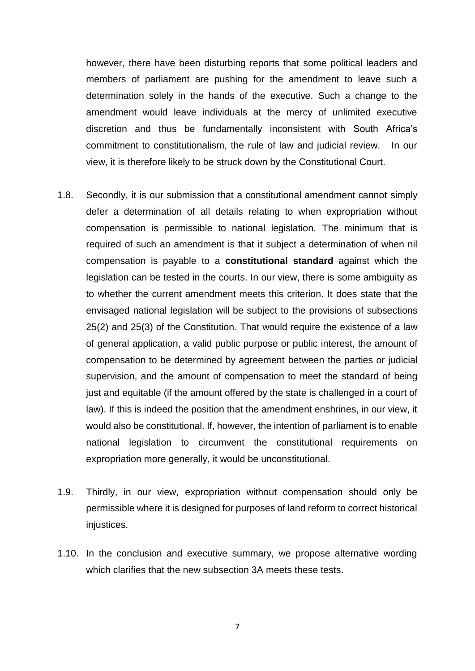however, there have been disturbing reports that some political leaders and members of parliament are pushing for the amendment to leave such a determination solely in the hands of the executive. Such a change to the amendment would leave individuals at the mercy of unlimited executive discretion and thus be fundamentally inconsistent with South Africa's commitment to constitutionalism, the rule of law and judicial review. In our view, it is therefore likely to be struck down by the Constitutional Court.

- 1.8. Secondly, it is our submission that a constitutional amendment cannot simply defer a determination of all details relating to when expropriation without compensation is permissible to national legislation. The minimum that is required of such an amendment is that it subject a determination of when nil compensation is payable to a **constitutional standard** against which the legislation can be tested in the courts. In our view, there is some ambiguity as to whether the current amendment meets this criterion. It does state that the envisaged national legislation will be subject to the provisions of subsections 25(2) and 25(3) of the Constitution. That would require the existence of a law of general application, a valid public purpose or public interest, the amount of compensation to be determined by agreement between the parties or judicial supervision, and the amount of compensation to meet the standard of being just and equitable (if the amount offered by the state is challenged in a court of law). If this is indeed the position that the amendment enshrines, in our view, it would also be constitutional. If, however, the intention of parliament is to enable national legislation to circumvent the constitutional requirements on expropriation more generally, it would be unconstitutional.
- 1.9. Thirdly, in our view, expropriation without compensation should only be permissible where it is designed for purposes of land reform to correct historical injustices.
- 1.10. In the conclusion and executive summary, we propose alternative wording which clarifies that the new subsection 3A meets these tests.

7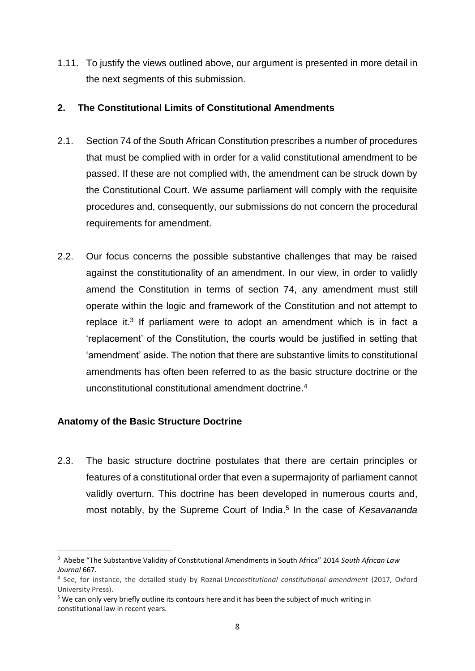1.11. To justify the views outlined above, our argument is presented in more detail in the next segments of this submission.

### **2. The Constitutional Limits of Constitutional Amendments**

- 2.1. Section 74 of the South African Constitution prescribes a number of procedures that must be complied with in order for a valid constitutional amendment to be passed. If these are not complied with, the amendment can be struck down by the Constitutional Court. We assume parliament will comply with the requisite procedures and, consequently, our submissions do not concern the procedural requirements for amendment.
- 2.2. Our focus concerns the possible substantive challenges that may be raised against the constitutionality of an amendment. In our view, in order to validly amend the Constitution in terms of section 74, any amendment must still operate within the logic and framework of the Constitution and not attempt to replace it.<sup>3</sup> If parliament were to adopt an amendment which is in fact a 'replacement' of the Constitution, the courts would be justified in setting that 'amendment' aside. The notion that there are substantive limits to constitutional amendments has often been referred to as the basic structure doctrine or the unconstitutional constitutional amendment doctrine. 4

# **Anatomy of the Basic Structure Doctrine**

**.** 

2.3. The basic structure doctrine postulates that there are certain principles or features of a constitutional order that even a supermajority of parliament cannot validly overturn. This doctrine has been developed in numerous courts and, most notably, by the Supreme Court of India. 5 In the case of *Kesavananda* 

<sup>3</sup> Abebe "The Substantive Validity of Constitutional Amendments in South Africa" 2014 *South African Law Journal* 667.

<sup>4</sup> See, for instance, the detailed study by Roznai *Unconstitutional constitutional amendment* (2017, Oxford University Press).

<sup>&</sup>lt;sup>5</sup> We can only very briefly outline its contours here and it has been the subject of much writing in constitutional law in recent years.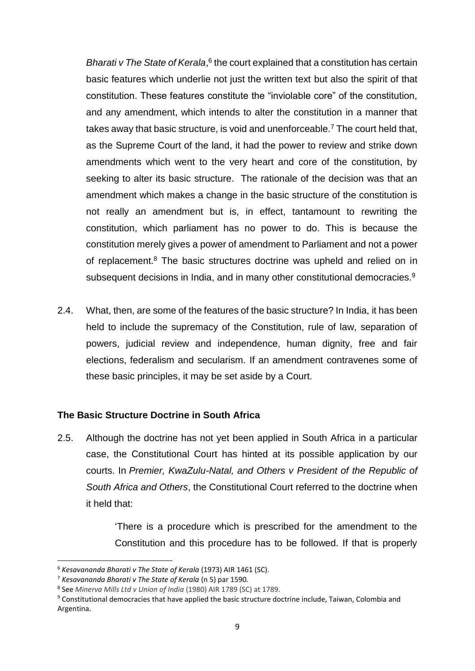Bharati v The State of Kerala,<sup>6</sup> the court explained that a constitution has certain basic features which underlie not just the written text but also the spirit of that constitution. These features constitute the "inviolable core" of the constitution, and any amendment, which intends to alter the constitution in a manner that takes away that basic structure, is void and unenforceable.<sup>7</sup> The court held that, as the Supreme Court of the land, it had the power to review and strike down amendments which went to the very heart and core of the constitution, by seeking to alter its basic structure. The rationale of the decision was that an amendment which makes a change in the basic structure of the constitution is not really an amendment but is, in effect, tantamount to rewriting the constitution, which parliament has no power to do. This is because the constitution merely gives a power of amendment to Parliament and not a power of replacement.<sup>8</sup> The basic structures doctrine was upheld and relied on in subsequent decisions in India, and in many other constitutional democracies.<sup>9</sup>

2.4. What, then, are some of the features of the basic structure? In India, it has been held to include the supremacy of the Constitution, rule of law, separation of powers, judicial review and independence, human dignity, free and fair elections, federalism and secularism. If an amendment contravenes some of these basic principles, it may be set aside by a Court.

# **The Basic Structure Doctrine in South Africa**

2.5. Although the doctrine has not yet been applied in South Africa in a particular case, the Constitutional Court has hinted at its possible application by our courts. In *Premier, KwaZulu-Natal, and Others v President of the Republic of South Africa and Others*, the Constitutional Court referred to the doctrine when it held that:

> 'There is a procedure which is prescribed for the amendment to the Constitution and this procedure has to be followed. If that is properly

<sup>6</sup> *Kesavananda Bharati v The State of Kerala* (1973) AIR 1461 (SC).

<sup>7</sup> *Kesavananda Bharati v The State of Kerala* (n 5) par 1590.

<sup>8</sup> See *Minerva Mills Ltd v Union of India* (1980) AIR 1789 (SC) at 1789.

<sup>9</sup> Constitutional democracies that have applied the basic structure doctrine include, Taiwan, Colombia and Argentina.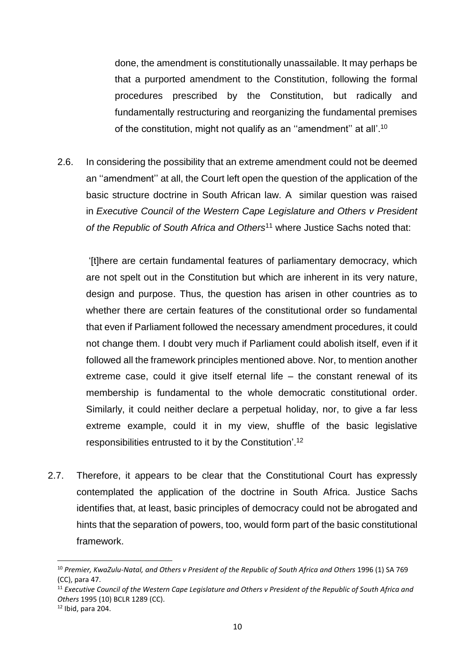done, the amendment is constitutionally unassailable. It may perhaps be that a purported amendment to the Constitution, following the formal procedures prescribed by the Constitution, but radically and fundamentally restructuring and reorganizing the fundamental premises of the constitution, might not qualify as an ''amendment'' at all'.<sup>10</sup>

2.6. In considering the possibility that an extreme amendment could not be deemed an ''amendment'' at all, the Court left open the question of the application of the basic structure doctrine in South African law. A similar question was raised in *Executive Council of the Western Cape Legislature and Others v President of the Republic of South Africa and Others*<sup>11</sup> where Justice Sachs noted that:

'[t]here are certain fundamental features of parliamentary democracy, which are not spelt out in the Constitution but which are inherent in its very nature, design and purpose. Thus, the question has arisen in other countries as to whether there are certain features of the constitutional order so fundamental that even if Parliament followed the necessary amendment procedures, it could not change them. I doubt very much if Parliament could abolish itself, even if it followed all the framework principles mentioned above. Nor, to mention another extreme case, could it give itself eternal life – the constant renewal of its membership is fundamental to the whole democratic constitutional order. Similarly, it could neither declare a perpetual holiday, nor, to give a far less extreme example, could it in my view, shuffle of the basic legislative responsibilities entrusted to it by the Constitution'.<sup>12</sup>

2.7. Therefore, it appears to be clear that the Constitutional Court has expressly contemplated the application of the doctrine in South Africa. Justice Sachs identifies that, at least, basic principles of democracy could not be abrogated and hints that the separation of powers, too, would form part of the basic constitutional framework.

<sup>10</sup> *Premier, KwaZulu-Natal, and Others v President of the Republic of South Africa and Others* 1996 (1) SA 769 (CC), para 47.

<sup>11</sup> *Executive Council of the Western Cape Legislature and Others v President of the Republic of South Africa and Others* 1995 (10) BCLR 1289 (CC).

 $12$  Ibid, para 204.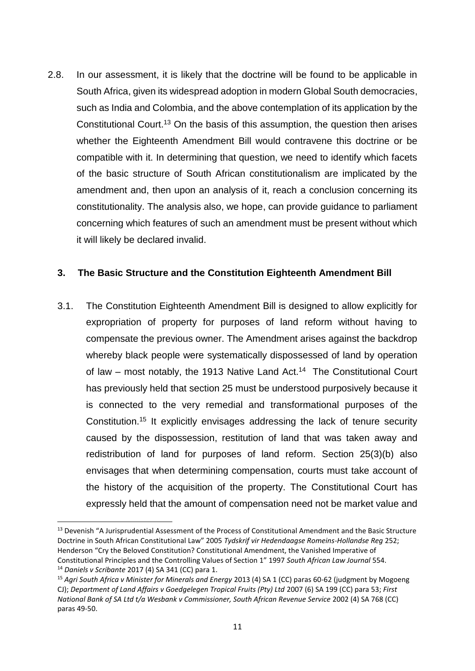2.8. In our assessment, it is likely that the doctrine will be found to be applicable in South Africa, given its widespread adoption in modern Global South democracies, such as India and Colombia, and the above contemplation of its application by the Constitutional Court. <sup>13</sup> On the basis of this assumption, the question then arises whether the Eighteenth Amendment Bill would contravene this doctrine or be compatible with it. In determining that question, we need to identify which facets of the basic structure of South African constitutionalism are implicated by the amendment and, then upon an analysis of it, reach a conclusion concerning its constitutionality. The analysis also, we hope, can provide guidance to parliament concerning which features of such an amendment must be present without which it will likely be declared invalid.

### **3. The Basic Structure and the Constitution Eighteenth Amendment Bill**

3.1. The Constitution Eighteenth Amendment Bill is designed to allow explicitly for expropriation of property for purposes of land reform without having to compensate the previous owner. The Amendment arises against the backdrop whereby black people were systematically dispossessed of land by operation of law – most notably, the 1913 Native Land Act.<sup>14</sup> The Constitutional Court has previously held that section 25 must be understood purposively because it is connected to the very remedial and transformational purposes of the Constitution.<sup>15</sup> It explicitly envisages addressing the lack of tenure security caused by the dispossession, restitution of land that was taken away and redistribution of land for purposes of land reform. Section 25(3)(b) also envisages that when determining compensation, courts must take account of the history of the acquisition of the property. The Constitutional Court has expressly held that the amount of compensation need not be market value and

1

<sup>&</sup>lt;sup>13</sup> Devenish "A Jurisprudential Assessment of the Process of Constitutional Amendment and the Basic Structure Doctrine in South African Constitutional Law" 2005 *Tydskrif vir Hedendaagse Romeins-Hollandse Reg* 252; Henderson "Cry the Beloved Constitution? Constitutional Amendment, the Vanished Imperative of Constitutional Principles and the Controlling Values of Section 1" 1997 *South African Law Journal* 554. <sup>14</sup> *Daniels v Scribante* 2017 (4) SA 341 (CC) para 1.

<sup>15</sup> *Agri South Africa v Minister for Minerals and Energy* 2013 (4) SA 1 (CC) paras 60-62 (judgment by Mogoeng CJ); *Department of Land Affairs v Goedgelegen Tropical Fruits (Pty) Ltd* 2007 (6) SA 199 (CC) para 53; *First National Bank of SA Ltd t/a Wesbank v Commissioner, South African Revenue Service* 2002 (4) SA 768 (CC) paras 49-50.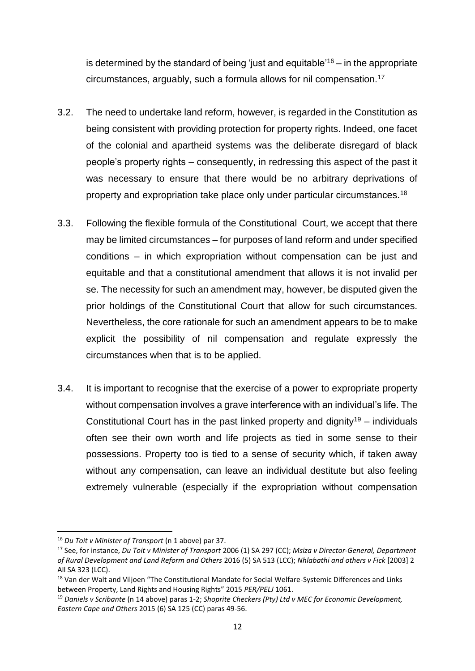is determined by the standard of being 'just and equitable'<sup>16</sup> – in the appropriate circumstances, arguably, such a formula allows for nil compensation.<sup>17</sup>

- 3.2. The need to undertake land reform, however, is regarded in the Constitution as being consistent with providing protection for property rights. Indeed, one facet of the colonial and apartheid systems was the deliberate disregard of black people's property rights – consequently, in redressing this aspect of the past it was necessary to ensure that there would be no arbitrary deprivations of property and expropriation take place only under particular circumstances.<sup>18</sup>
- 3.3. Following the flexible formula of the Constitutional Court, we accept that there may be limited circumstances – for purposes of land reform and under specified conditions – in which expropriation without compensation can be just and equitable and that a constitutional amendment that allows it is not invalid per se. The necessity for such an amendment may, however, be disputed given the prior holdings of the Constitutional Court that allow for such circumstances. Nevertheless, the core rationale for such an amendment appears to be to make explicit the possibility of nil compensation and regulate expressly the circumstances when that is to be applied.
- 3.4. It is important to recognise that the exercise of a power to expropriate property without compensation involves a grave interference with an individual's life. The Constitutional Court has in the past linked property and dignity<sup>19</sup> – individuals often see their own worth and life projects as tied in some sense to their possessions. Property too is tied to a sense of security which, if taken away without any compensation, can leave an individual destitute but also feeling extremely vulnerable (especially if the expropriation without compensation

**.** 

<sup>16</sup> *Du Toit v Minister of Transport* (n 1 above) par 37.

<sup>17</sup> See, for instance, *Du Toit v Minister of Transport* 2006 (1) SA 297 (CC); *Msiza v Director-General, Department of Rural Development and Land Reform and Others* 2016 (5) SA 513 (LCC); *Nhlabathi and others v Fick* [2003] 2 All SA 323 (LCC).

<sup>&</sup>lt;sup>18</sup> Van der Walt and Viljoen "The Constitutional Mandate for Social Welfare-Systemic Differences and Links between Property, Land Rights and Housing Rights" 2015 *PER/PELJ* 1061.

<sup>19</sup> *Daniels v Scribante* (n 14 above) paras 1-2; *Shoprite Checkers (Pty) Ltd v MEC for Economic Development, Eastern Cape and Others* 2015 (6) SA 125 (CC) paras 49-56.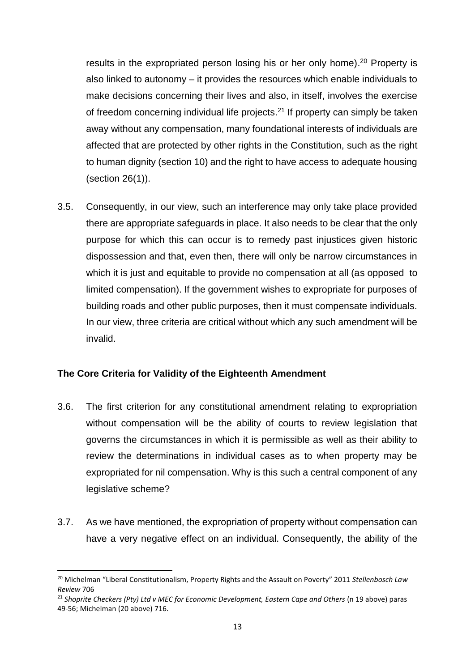results in the expropriated person losing his or her only home).<sup>20</sup> Property is also linked to autonomy – it provides the resources which enable individuals to make decisions concerning their lives and also, in itself, involves the exercise of freedom concerning individual life projects.<sup>21</sup> If property can simply be taken away without any compensation, many foundational interests of individuals are affected that are protected by other rights in the Constitution, such as the right to human dignity (section 10) and the right to have access to adequate housing (section 26(1)).

3.5. Consequently, in our view, such an interference may only take place provided there are appropriate safeguards in place. It also needs to be clear that the only purpose for which this can occur is to remedy past injustices given historic dispossession and that, even then, there will only be narrow circumstances in which it is just and equitable to provide no compensation at all (as opposed to limited compensation). If the government wishes to expropriate for purposes of building roads and other public purposes, then it must compensate individuals. In our view, three criteria are critical without which any such amendment will be invalid.

# **The Core Criteria for Validity of the Eighteenth Amendment**

**.** 

- 3.6. The first criterion for any constitutional amendment relating to expropriation without compensation will be the ability of courts to review legislation that governs the circumstances in which it is permissible as well as their ability to review the determinations in individual cases as to when property may be expropriated for nil compensation. Why is this such a central component of any legislative scheme?
- 3.7. As we have mentioned, the expropriation of property without compensation can have a very negative effect on an individual. Consequently, the ability of the

<sup>20</sup> Michelman "Liberal Constitutionalism, Property Rights and the Assault on Poverty" 2011 *Stellenbosch Law Review* 706

<sup>21</sup> *Shoprite Checkers (Pty) Ltd v MEC for Economic Development, Eastern Cape and Others* (n 19 above) paras 49-56; Michelman (20 above) 716.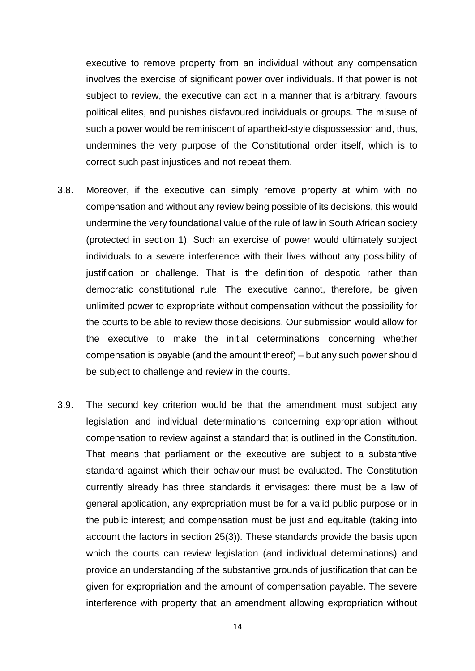executive to remove property from an individual without any compensation involves the exercise of significant power over individuals. If that power is not subject to review, the executive can act in a manner that is arbitrary, favours political elites, and punishes disfavoured individuals or groups. The misuse of such a power would be reminiscent of apartheid-style dispossession and, thus, undermines the very purpose of the Constitutional order itself, which is to correct such past injustices and not repeat them.

- 3.8. Moreover, if the executive can simply remove property at whim with no compensation and without any review being possible of its decisions, this would undermine the very foundational value of the rule of law in South African society (protected in section 1). Such an exercise of power would ultimately subject individuals to a severe interference with their lives without any possibility of justification or challenge. That is the definition of despotic rather than democratic constitutional rule. The executive cannot, therefore, be given unlimited power to expropriate without compensation without the possibility for the courts to be able to review those decisions. Our submission would allow for the executive to make the initial determinations concerning whether compensation is payable (and the amount thereof) – but any such power should be subject to challenge and review in the courts.
- 3.9. The second key criterion would be that the amendment must subject any legislation and individual determinations concerning expropriation without compensation to review against a standard that is outlined in the Constitution. That means that parliament or the executive are subject to a substantive standard against which their behaviour must be evaluated. The Constitution currently already has three standards it envisages: there must be a law of general application, any expropriation must be for a valid public purpose or in the public interest; and compensation must be just and equitable (taking into account the factors in section 25(3)). These standards provide the basis upon which the courts can review legislation (and individual determinations) and provide an understanding of the substantive grounds of justification that can be given for expropriation and the amount of compensation payable. The severe interference with property that an amendment allowing expropriation without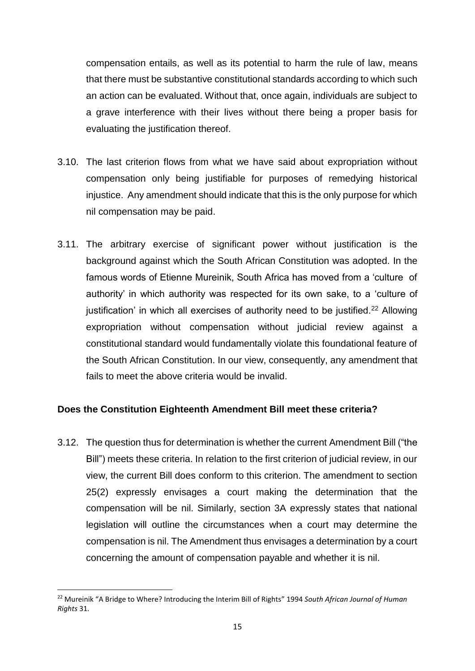compensation entails, as well as its potential to harm the rule of law, means that there must be substantive constitutional standards according to which such an action can be evaluated. Without that, once again, individuals are subject to a grave interference with their lives without there being a proper basis for evaluating the justification thereof.

- 3.10. The last criterion flows from what we have said about expropriation without compensation only being justifiable for purposes of remedying historical injustice. Any amendment should indicate that this is the only purpose for which nil compensation may be paid.
- 3.11. The arbitrary exercise of significant power without justification is the background against which the South African Constitution was adopted. In the famous words of Etienne Mureinik, South Africa has moved from a 'culture of authority' in which authority was respected for its own sake, to a 'culture of justification' in which all exercises of authority need to be justified.<sup>22</sup> Allowing expropriation without compensation without judicial review against a constitutional standard would fundamentally violate this foundational feature of the South African Constitution. In our view, consequently, any amendment that fails to meet the above criteria would be invalid.

# **Does the Constitution Eighteenth Amendment Bill meet these criteria?**

3.12. The question thus for determination is whether the current Amendment Bill ("the Bill") meets these criteria. In relation to the first criterion of judicial review, in our view, the current Bill does conform to this criterion. The amendment to section 25(2) expressly envisages a court making the determination that the compensation will be nil. Similarly, section 3A expressly states that national legislation will outline the circumstances when a court may determine the compensation is nil. The Amendment thus envisages a determination by a court concerning the amount of compensation payable and whether it is nil.

**.** 

<sup>22</sup> Mureinik "A Bridge to Where? Introducing the Interim Bill of Rights" 1994 *South African Journal of Human Rights* 31.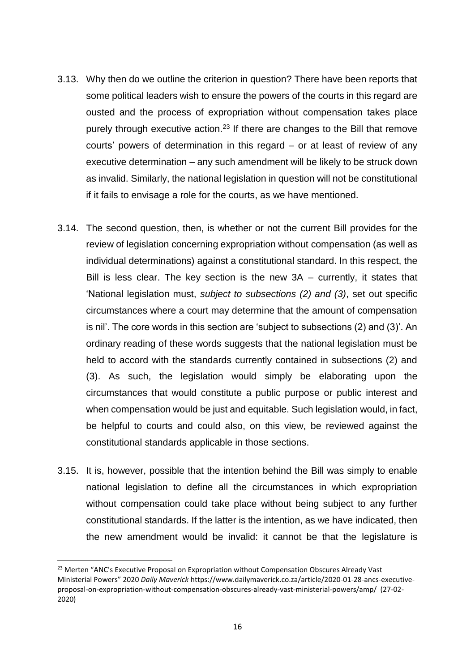- 3.13. Why then do we outline the criterion in question? There have been reports that some political leaders wish to ensure the powers of the courts in this regard are ousted and the process of expropriation without compensation takes place purely through executive action.<sup>23</sup> If there are changes to the Bill that remove courts' powers of determination in this regard – or at least of review of any executive determination – any such amendment will be likely to be struck down as invalid. Similarly, the national legislation in question will not be constitutional if it fails to envisage a role for the courts, as we have mentioned.
- 3.14. The second question, then, is whether or not the current Bill provides for the review of legislation concerning expropriation without compensation (as well as individual determinations) against a constitutional standard. In this respect, the Bill is less clear. The key section is the new 3A – currently, it states that 'National legislation must, *subject to subsections (2) and (3)*, set out specific circumstances where a court may determine that the amount of compensation is nil'. The core words in this section are 'subject to subsections (2) and (3)'. An ordinary reading of these words suggests that the national legislation must be held to accord with the standards currently contained in subsections (2) and (3). As such, the legislation would simply be elaborating upon the circumstances that would constitute a public purpose or public interest and when compensation would be just and equitable. Such legislation would, in fact, be helpful to courts and could also, on this view, be reviewed against the constitutional standards applicable in those sections.
- 3.15. It is, however, possible that the intention behind the Bill was simply to enable national legislation to define all the circumstances in which expropriation without compensation could take place without being subject to any further constitutional standards. If the latter is the intention, as we have indicated, then the new amendment would be invalid: it cannot be that the legislature is

<sup>&</sup>lt;sup>23</sup> Merten "ANC's Executive Proposal on Expropriation without Compensation Obscures Already Vast Ministerial Powers" 2020 *Daily Maverick* https://www.dailymaverick.co.za/article/2020-01-28-ancs-executiveproposal-on-expropriation-without-compensation-obscures-already-vast-ministerial-powers/amp/ (27-02- 2020)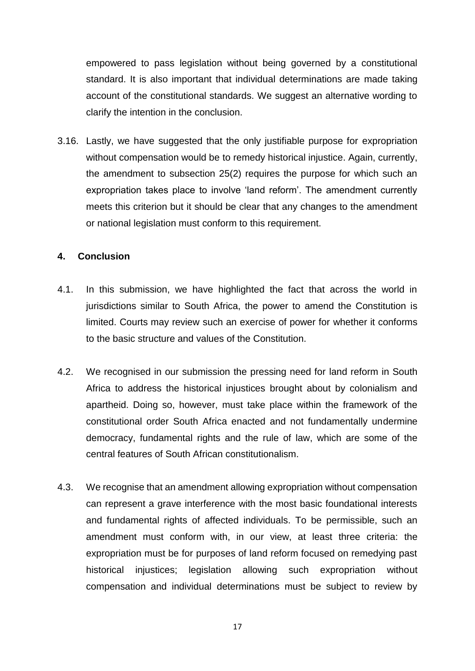empowered to pass legislation without being governed by a constitutional standard. It is also important that individual determinations are made taking account of the constitutional standards. We suggest an alternative wording to clarify the intention in the conclusion.

3.16. Lastly, we have suggested that the only justifiable purpose for expropriation without compensation would be to remedy historical injustice. Again, currently, the amendment to subsection 25(2) requires the purpose for which such an expropriation takes place to involve 'land reform'. The amendment currently meets this criterion but it should be clear that any changes to the amendment or national legislation must conform to this requirement.

### **4. Conclusion**

- 4.1. In this submission, we have highlighted the fact that across the world in jurisdictions similar to South Africa, the power to amend the Constitution is limited. Courts may review such an exercise of power for whether it conforms to the basic structure and values of the Constitution.
- 4.2. We recognised in our submission the pressing need for land reform in South Africa to address the historical injustices brought about by colonialism and apartheid. Doing so, however, must take place within the framework of the constitutional order South Africa enacted and not fundamentally undermine democracy, fundamental rights and the rule of law, which are some of the central features of South African constitutionalism.
- 4.3. We recognise that an amendment allowing expropriation without compensation can represent a grave interference with the most basic foundational interests and fundamental rights of affected individuals. To be permissible, such an amendment must conform with, in our view, at least three criteria: the expropriation must be for purposes of land reform focused on remedying past historical injustices; legislation allowing such expropriation without compensation and individual determinations must be subject to review by